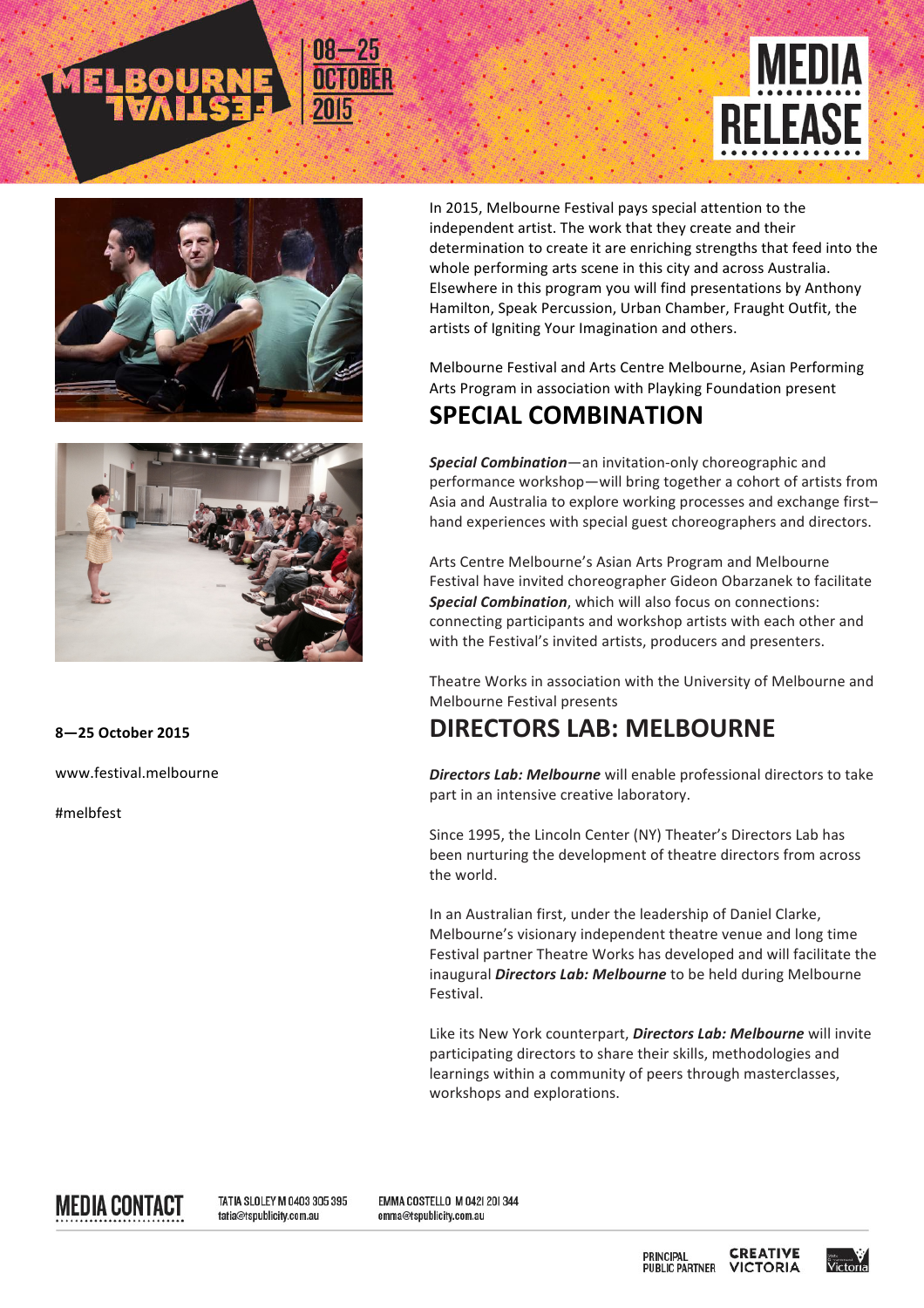





## **8—25 October 2015**

www.festival.melbourne 

#melbfest

In 2015, Melbourne Festival pays special attention to the independent artist. The work that they create and their determination to create it are enriching strengths that feed into the whole performing arts scene in this city and across Australia. Elsewhere in this program you will find presentations by Anthony Hamilton, Speak Percussion, Urban Chamber, Fraught Outfit, the artists of Igniting Your Imagination and others.

Melbourne Festival and Arts Centre Melbourne, Asian Performing Arts Program in association with Playking Foundation present

## **SPECIAL COMBINATION**

**Special Combination**—an invitation-only choreographic and performance workshop—will bring together a cohort of artists from Asia and Australia to explore working processes and exchange firsthand experiences with special guest choreographers and directors.

Arts Centre Melbourne's Asian Arts Program and Melbourne Festival have invited choreographer Gideon Obarzanek to facilitate **Special Combination**, which will also focus on connections: connecting participants and workshop artists with each other and with the Festival's invited artists, producers and presenters.

Theatre Works in association with the University of Melbourne and Melbourne Festival presents

## **DIRECTORS LAB: MELBOURNE**

**Directors Lab: Melbourne** will enable professional directors to take part in an intensive creative laboratory.

Since 1995, the Lincoln Center (NY) Theater's Directors Lab has been nurturing the development of theatre directors from across the world.

In an Australian first, under the leadership of Daniel Clarke, Melbourne's visionary independent theatre venue and long time Festival partner Theatre Works has developed and will facilitate the inaugural *Directors Lab: Melbourne* to be held during Melbourne Festival.

Like its New York counterpart, *Directors Lab: Melbourne* will invite participating directors to share their skills, methodologies and learnings within a community of peers through masterclasses, workshops and explorations.

MEDIA CONTACT

TATIA SLOLEY M 0403 305 395 tatia@tspublicity.com.au

EMMA COSTELLO M 042| 20| 344 emma@tspublicity.com.au